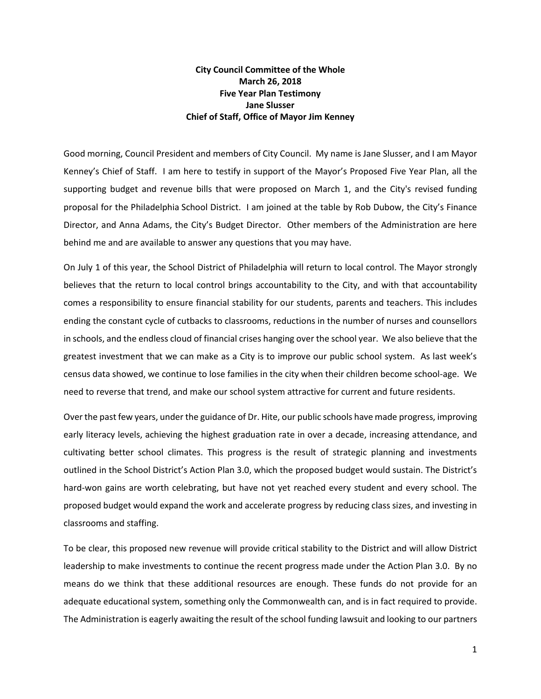## **City Council Committee of the Whole March 26, 2018 Five Year Plan Testimony Jane Slusser Chief of Staff, Office of Mayor Jim Kenney**

Good morning, Council President and members of City Council. My name is Jane Slusser, and I am Mayor Kenney's Chief of Staff. I am here to testify in support of the Mayor's Proposed Five Year Plan, all the supporting budget and revenue bills that were proposed on March 1, and the City's revised funding proposal for the Philadelphia School District. I am joined at the table by Rob Dubow, the City's Finance Director, and Anna Adams, the City's Budget Director. Other members of the Administration are here behind me and are available to answer any questions that you may have.

On July 1 of this year, the School District of Philadelphia will return to local control. The Mayor strongly believes that the return to local control brings accountability to the City, and with that accountability comes a responsibility to ensure financial stability for our students, parents and teachers. This includes ending the constant cycle of cutbacks to classrooms, reductions in the number of nurses and counsellors in schools, and the endless cloud of financial crises hanging over the school year. We also believe that the greatest investment that we can make as a City is to improve our public school system. As last week's census data showed, we continue to lose families in the city when their children become school-age. We need to reverse that trend, and make our school system attractive for current and future residents.

Over the past few years, under the guidance of Dr. Hite, our public schools have made progress, improving early literacy levels, achieving the highest graduation rate in over a decade, increasing attendance, and cultivating better school climates. This progress is the result of strategic planning and investments outlined in the School District's Action Plan 3.0, which the proposed budget would sustain. The District's hard-won gains are worth celebrating, but have not yet reached every student and every school. The proposed budget would expand the work and accelerate progress by reducing class sizes, and investing in classrooms and staffing.

To be clear, this proposed new revenue will provide critical stability to the District and will allow District leadership to make investments to continue the recent progress made under the Action Plan 3.0. By no means do we think that these additional resources are enough. These funds do not provide for an adequate educational system, something only the Commonwealth can, and is in fact required to provide. The Administration is eagerly awaiting the result of the school funding lawsuit and looking to our partners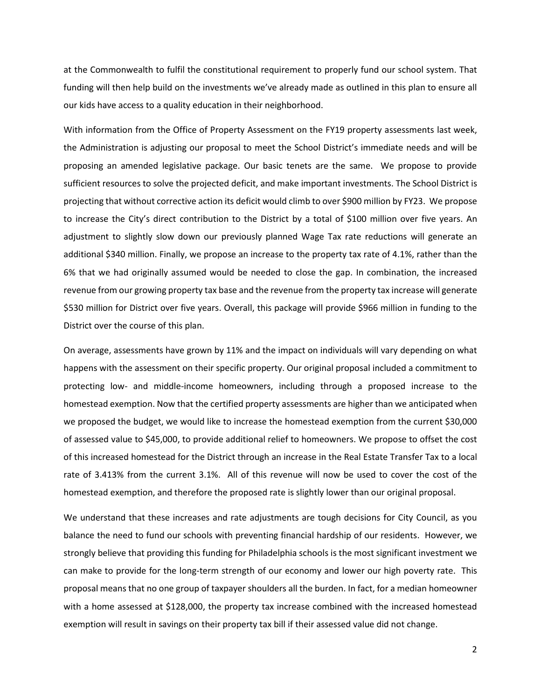at the Commonwealth to fulfil the constitutional requirement to properly fund our school system. That funding will then help build on the investments we've already made as outlined in this plan to ensure all our kids have access to a quality education in their neighborhood.

With information from the Office of Property Assessment on the FY19 property assessments last week, the Administration is adjusting our proposal to meet the School District's immediate needs and will be proposing an amended legislative package. Our basic tenets are the same. We propose to provide sufficient resources to solve the projected deficit, and make important investments. The School District is projecting that without corrective action its deficit would climb to over \$900 million by FY23. We propose to increase the City's direct contribution to the District by a total of \$100 million over five years. An adjustment to slightly slow down our previously planned Wage Tax rate reductions will generate an additional \$340 million. Finally, we propose an increase to the property tax rate of 4.1%, rather than the 6% that we had originally assumed would be needed to close the gap. In combination, the increased revenue from our growing property tax base and the revenue from the property tax increase will generate \$530 million for District over five years. Overall, this package will provide \$966 million in funding to the District over the course of this plan.

On average, assessments have grown by 11% and the impact on individuals will vary depending on what happens with the assessment on their specific property. Our original proposal included a commitment to protecting low- and middle-income homeowners, including through a proposed increase to the homestead exemption. Now that the certified property assessments are higher than we anticipated when we proposed the budget, we would like to increase the homestead exemption from the current \$30,000 of assessed value to \$45,000, to provide additional relief to homeowners. We propose to offset the cost of this increased homestead for the District through an increase in the Real Estate Transfer Tax to a local rate of 3.413% from the current 3.1%. All of this revenue will now be used to cover the cost of the homestead exemption, and therefore the proposed rate is slightly lower than our original proposal.

We understand that these increases and rate adjustments are tough decisions for City Council, as you balance the need to fund our schools with preventing financial hardship of our residents. However, we strongly believe that providing this funding for Philadelphia schools is the most significant investment we can make to provide for the long-term strength of our economy and lower our high poverty rate. This proposal means that no one group of taxpayer shoulders all the burden. In fact, for a median homeowner with a home assessed at \$128,000, the property tax increase combined with the increased homestead exemption will result in savings on their property tax bill if their assessed value did not change.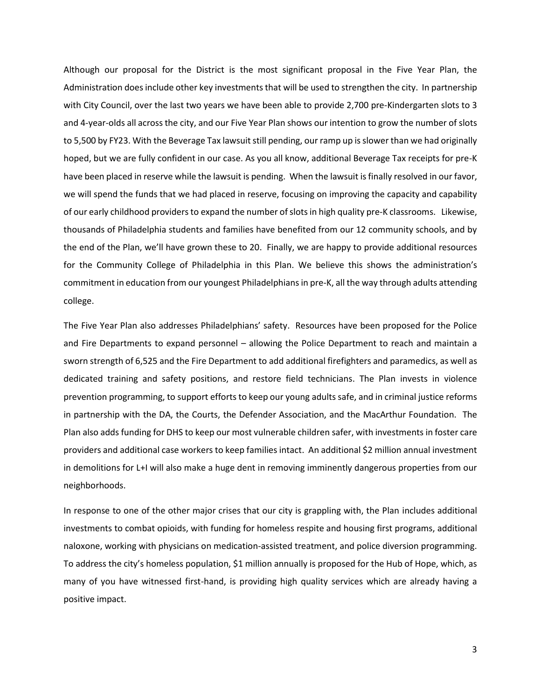Although our proposal for the District is the most significant proposal in the Five Year Plan, the Administration does include other key investments that will be used to strengthen the city. In partnership with City Council, over the last two years we have been able to provide 2,700 pre-Kindergarten slots to 3 and 4-year-olds all across the city, and our Five Year Plan shows our intention to grow the number of slots to 5,500 by FY23. With the Beverage Tax lawsuit still pending, our ramp up is slower than we had originally hoped, but we are fully confident in our case. As you all know, additional Beverage Tax receipts for pre-K have been placed in reserve while the lawsuit is pending. When the lawsuit is finally resolved in our favor, we will spend the funds that we had placed in reserve, focusing on improving the capacity and capability of our early childhood providers to expand the number of slots in high quality pre-K classrooms. Likewise, thousands of Philadelphia students and families have benefited from our 12 community schools, and by the end of the Plan, we'll have grown these to 20. Finally, we are happy to provide additional resources for the Community College of Philadelphia in this Plan. We believe this shows the administration's commitment in education from our youngest Philadelphians in pre-K, all the way through adults attending college.

The Five Year Plan also addresses Philadelphians' safety. Resources have been proposed for the Police and Fire Departments to expand personnel – allowing the Police Department to reach and maintain a sworn strength of 6,525 and the Fire Department to add additional firefighters and paramedics, as well as dedicated training and safety positions, and restore field technicians. The Plan invests in violence prevention programming, to support efforts to keep our young adults safe, and in criminal justice reforms in partnership with the DA, the Courts, the Defender Association, and the MacArthur Foundation. The Plan also adds funding for DHS to keep our most vulnerable children safer, with investments in foster care providers and additional case workers to keep families intact. An additional \$2 million annual investment in demolitions for L+I will also make a huge dent in removing imminently dangerous properties from our neighborhoods.

In response to one of the other major crises that our city is grappling with, the Plan includes additional investments to combat opioids, with funding for homeless respite and housing first programs, additional naloxone, working with physicians on medication-assisted treatment, and police diversion programming. To address the city's homeless population, \$1 million annually is proposed for the Hub of Hope, which, as many of you have witnessed first-hand, is providing high quality services which are already having a positive impact.